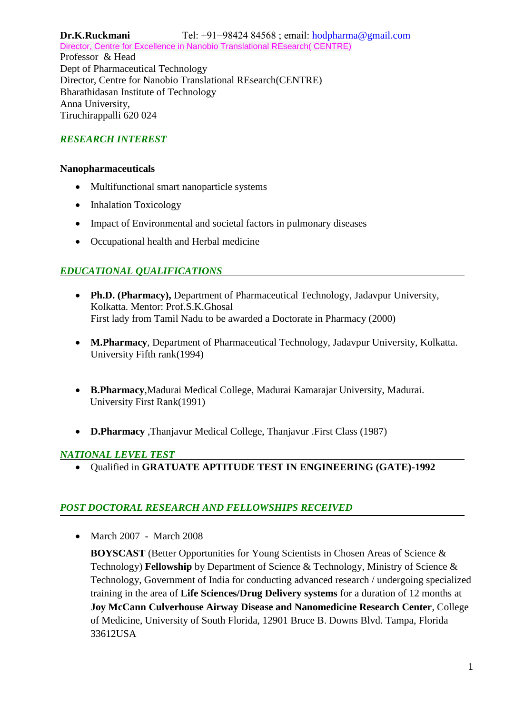**Dr.K.Ruckmani** Tel: +91−98424 84568 ; email: hodpharma@gmail.com Director, Centre for Excellence in Nanobio Translational REsearch( CENTRE) Professor & Head Dept of Pharmaceutical Technology

Director, Centre for Nanobio Translational REsearch(CENTRE) Bharathidasan Institute of Technology Anna University,

Tiruchirappalli 620 024

# *RESEARCH INTEREST*

## **Nanopharmaceuticals**

- Multifunctional smart nanoparticle systems
- Inhalation Toxicology
- Impact of Environmental and societal factors in pulmonary diseases
- Occupational health and Herbal medicine

# *EDUCATIONAL QUALIFICATIONS*

- **Ph.D. (Pharmacy),** Department of Pharmaceutical Technology, Jadavpur University, Kolkatta. Mentor: Prof.S.K.Ghosal First lady from Tamil Nadu to be awarded a Doctorate in Pharmacy (2000)
- **M.Pharmacy**, Department of Pharmaceutical Technology, Jadavpur University, Kolkatta. University Fifth rank(1994)
- **B.Pharmacy**,Madurai Medical College, Madurai Kamarajar University, Madurai. University First Rank(1991)
- **D.Pharmacy** ,Thanjavur Medical College, Thanjavur .First Class (1987)

# *NATIONAL LEVEL TEST*

Qualified in **GRATUATE APTITUDE TEST IN ENGINEERING (GATE)-1992**

# *POST DOCTORAL RESEARCH AND FELLOWSHIPS RECEIVED*

• March 2007 - March 2008

**BOYSCAST** (Better Opportunities for Young Scientists in Chosen Areas of Science & Technology) **Fellowship** by Department of Science & Technology, Ministry of Science & Technology, Government of India for conducting advanced research / undergoing specialized training in the area of **Life Sciences/Drug Delivery systems** for a duration of 12 months at **Joy McCann Culverhouse Airway Disease and Nanomedicine Research Center**, College of Medicine, University of South Florida, 12901 Bruce B. Downs Blvd. Tampa, Florida 33612USA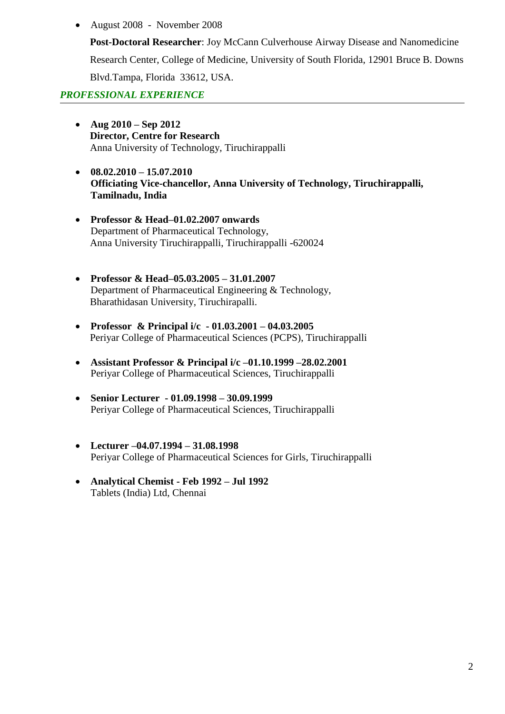August 2008 - November 2008

**Post-Doctoral Researcher**: Joy McCann Culverhouse Airway Disease and Nanomedicine

Research Center, College of Medicine, University of South Florida, 12901 Bruce B. Downs

Blvd.Tampa, Florida 33612, USA.

## *PROFESSIONAL EXPERIENCE*

- **Aug 2010 – Sep 2012 Director, Centre for Research** Anna University of Technology, Tiruchirappalli
- **08.02.2010 – 15.07.2010 Officiating Vice-chancellor, Anna University of Technology, Tiruchirappalli, Tamilnadu, India**
- **Professor & Head–01.02.2007 onwards** Department of Pharmaceutical Technology, Anna University Tiruchirappalli, Tiruchirappalli -620024
- **Professor & Head–05.03.2005 – 31.01.2007** Department of Pharmaceutical Engineering & Technology, Bharathidasan University, Tiruchirapalli.
- **Professor & Principal i/c - 01.03.2001 – 04.03.2005** Periyar College of Pharmaceutical Sciences (PCPS), Tiruchirappalli
- **Assistant Professor & Principal i/c –01.10.1999 –28.02.2001** Periyar College of Pharmaceutical Sciences, Tiruchirappalli
- **Senior Lecturer - 01.09.1998 – 30.09.1999** Periyar College of Pharmaceutical Sciences, Tiruchirappalli
- **Lecturer –04.07.1994 – 31.08.1998** Periyar College of Pharmaceutical Sciences for Girls, Tiruchirappalli
- **Analytical Chemist - Feb 1992 – Jul 1992** Tablets (India) Ltd, Chennai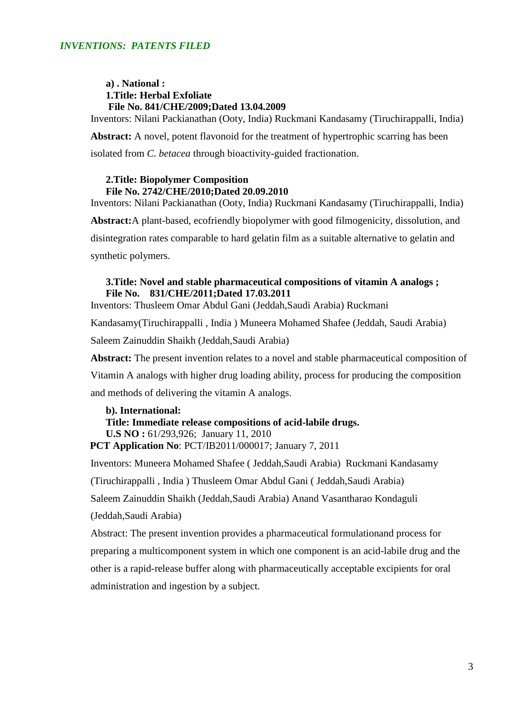#### **a) . National : 1.Title: Herbal Exfoliate File No. 841/CHE/2009;Dated 13.04.2009**

Inventors: Nilani Packianathan (Ooty, India) Ruckmani Kandasamy (Tiruchirappalli, India)

**Abstract:** A novel, potent flavonoid for the treatment of hypertrophic scarring has been isolated from *C. betacea* through bioactivity-guided fractionation.

#### **2.Title: Biopolymer Composition File No. 2742/CHE/2010;Dated 20.09.2010**

Inventors: Nilani Packianathan (Ooty, India) Ruckmani Kandasamy (Tiruchirappalli, India) **Abstract:**A plant-based, ecofriendly biopolymer with good filmogenicity, dissolution, and disintegration rates comparable to hard gelatin film as a suitable alternative to gelatin and synthetic polymers.

### **3.Title: Novel and stable pharmaceutical compositions of vitamin A analogs ; File No. 831/CHE/2011;Dated 17.03.2011**

Inventors: Thusleem Omar Abdul Gani (Jeddah,Saudi Arabia) Ruckmani

Kandasamy(Tiruchirappalli , India ) Muneera Mohamed Shafee (Jeddah, Saudi Arabia)

Saleem Zainuddin Shaikh (Jeddah,Saudi Arabia)

**Abstract:** The present invention relates to a novel and stable pharmaceutical composition of

Vitamin A analogs with higher drug loading ability, process for producing the composition

and methods of delivering the vitamin A analogs.

#### **b). International:**

**Title: Immediate release compositions of acid-labile drugs. U.S NO :** 61/293,926; January 11, 2010

**PCT Application No**: PCT/IB2011/000017; January 7, 2011

Inventors: Muneera Mohamed Shafee ( Jeddah,Saudi Arabia) Ruckmani Kandasamy

(Tiruchirappalli , India ) Thusleem Omar Abdul Gani ( Jeddah,Saudi Arabia)

Saleem Zainuddin Shaikh (Jeddah,Saudi Arabia) Anand Vasantharao Kondaguli

(Jeddah,Saudi Arabia)

Abstract: The present invention provides a pharmaceutical formulationand process for

preparing a multicomponent system in which one component is an acid-labile drug and the

other is a rapid-release buffer along with pharmaceutically acceptable excipients for oral administration and ingestion by a subject.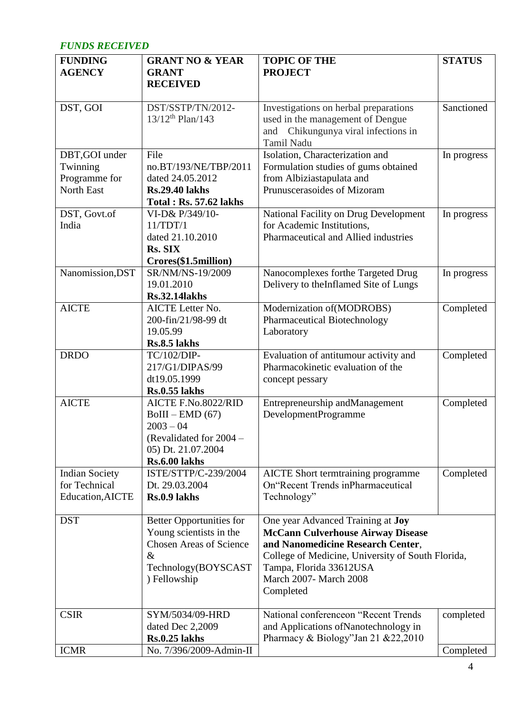## *FUNDS RECEIVED*

| <b>FUNDING</b>                         | <b>GRANT NO &amp; YEAR</b>                                | <b>TOPIC OF THE</b>                                                             | <b>STATUS</b> |
|----------------------------------------|-----------------------------------------------------------|---------------------------------------------------------------------------------|---------------|
| <b>AGENCY</b>                          | <b>GRANT</b><br><b>RECEIVED</b>                           | <b>PROJECT</b>                                                                  |               |
|                                        |                                                           |                                                                                 |               |
| DST, GOI                               | DST/SSTP/TN/2012-<br>$13/12$ <sup>th</sup> Plan/143       | Investigations on herbal preparations                                           | Sanctioned    |
|                                        |                                                           | used in the management of Dengue<br>and Chikungunya viral infections in         |               |
|                                        |                                                           | <b>Tamil Nadu</b>                                                               |               |
| DBT, GOI under                         | File                                                      | Isolation, Characterization and                                                 | In progress   |
| Twinning<br>Programme for              | no.BT/193/NE/TBP/2011<br>dated 24.05.2012                 | Formulation studies of gums obtained<br>from Albiziastapulata and               |               |
| North East                             | <b>Rs.29.40 lakhs</b>                                     | Prunuscerasoides of Mizoram                                                     |               |
|                                        | <b>Total: Rs. 57.62 lakhs</b>                             |                                                                                 |               |
| DST, Govt.of                           | VI-D& P/349/10-                                           | National Facility on Drug Development                                           | In progress   |
| India                                  | 11/TDT/1<br>dated 21.10.2010                              | for Academic Institutions,<br>Pharmaceutical and Allied industries              |               |
|                                        | Rs. SIX                                                   |                                                                                 |               |
|                                        | Crores(\$1.5million)                                      |                                                                                 |               |
| Nanomission, DST                       | SR/NM/NS-19/2009                                          | Nanocomplexes forthe Targeted Drug                                              | In progress   |
|                                        | 19.01.2010<br><b>Rs.32.14lakhs</b>                        | Delivery to theInflamed Site of Lungs                                           |               |
| <b>AICTE</b>                           | <b>AICTE</b> Letter No.                                   | Modernization of (MODROBS)                                                      | Completed     |
|                                        | 200-fin/21/98-99 dt                                       | Pharmaceutical Biotechnology                                                    |               |
|                                        | 19.05.99                                                  | Laboratory                                                                      |               |
| <b>DRDO</b>                            | Rs.8.5 lakhs<br>TC/102/DIP-                               | Evaluation of antitumour activity and                                           |               |
|                                        | 217/G1/DIPAS/99                                           | Pharmacokinetic evaluation of the                                               | Completed     |
|                                        | dt19.05.1999                                              | concept pessary                                                                 |               |
|                                        | <b>Rs.0.55</b> lakhs                                      |                                                                                 |               |
| <b>AICTE</b>                           | AICTE F.No.8022/RID                                       | Entrepreneurship andManagement                                                  | Completed     |
|                                        | $BoIII - EMD(67)$<br>$2003 - 04$                          | DevelopmentProgramme                                                            |               |
|                                        | (Revalidated for 2004 -                                   |                                                                                 |               |
|                                        | 05) Dt. 21.07.2004                                        |                                                                                 |               |
|                                        | <b>Rs.6.00 lakhs</b>                                      |                                                                                 |               |
| <b>Indian Society</b><br>for Technical | ISTE/STTP/C-239/2004<br>Dt. 29.03.2004                    | <b>AICTE</b> Short termtraining programme<br>On Recent Trends in Pharmaceutical | Completed     |
| Education, AICTE                       | Rs.0.9 lakhs                                              | Technology"                                                                     |               |
|                                        |                                                           |                                                                                 |               |
| <b>DST</b>                             | <b>Better Opportunities for</b>                           | One year Advanced Training at <b>Joy</b>                                        |               |
|                                        | Young scientists in the<br><b>Chosen Areas of Science</b> | <b>McCann Culverhouse Airway Disease</b><br>and Nanomedicine Research Center,   |               |
|                                        | $\&$                                                      | College of Medicine, University of South Florida,                               |               |
|                                        | Technology(BOYSCAST                                       | Tampa, Florida 33612USA                                                         |               |
|                                        | ) Fellowship                                              | March 2007- March 2008<br>Completed                                             |               |
|                                        |                                                           |                                                                                 |               |
| <b>CSIR</b>                            | SYM/5034/09-HRD                                           | National conferenceon "Recent Trends"                                           | completed     |
|                                        | dated Dec 2,2009                                          | and Applications of Nanotechnology in                                           |               |
| <b>ICMR</b>                            | <b>Rs.0.25</b> lakhs<br>No. 7/396/2009-Admin-II           | Pharmacy & Biology"Jan 21 & 22, 2010                                            | Completed     |
|                                        |                                                           |                                                                                 |               |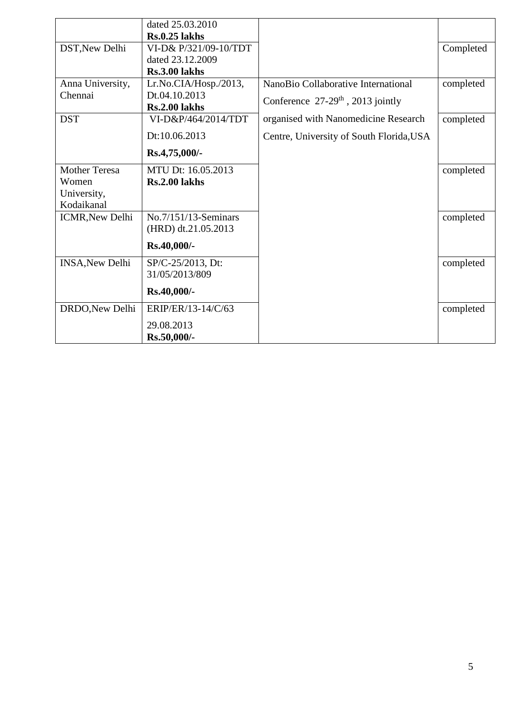|                        | dated 25.03.2010      |                                                 |           |
|------------------------|-----------------------|-------------------------------------------------|-----------|
|                        | $Rs.0.25$ lakhs       |                                                 |           |
| DST, New Delhi         | VI-D& P/321/09-10/TDT |                                                 | Completed |
|                        | dated 23.12.2009      |                                                 |           |
|                        | <b>Rs.3.00 lakhs</b>  |                                                 |           |
| Anna University,       | Lr.No.CIA/Hosp./2013, | NanoBio Collaborative International             | completed |
| Chennai                | Dt.04.10.2013         | Conference $27-29$ <sup>th</sup> , 2013 jointly |           |
|                        | <b>Rs.2.00 lakhs</b>  |                                                 |           |
| <b>DST</b>             | VI-D&P/464/2014/TDT   | organised with Nanomedicine Research            | completed |
|                        | Dt:10.06.2013         | Centre, University of South Florida, USA        |           |
|                        | Rs.4,75,000/-         |                                                 |           |
| <b>Mother Teresa</b>   | MTU Dt: 16.05.2013    |                                                 | completed |
| Women                  | <b>Rs.2.00 lakhs</b>  |                                                 |           |
| University,            |                       |                                                 |           |
| Kodaikanal             |                       |                                                 |           |
| <b>ICMR, New Delhi</b> | No.7/151/13-Seminars  |                                                 | completed |
|                        | (HRD) dt.21.05.2013   |                                                 |           |
|                        | Rs.40,000/-           |                                                 |           |
| <b>INSA, New Delhi</b> | SP/C-25/2013, Dt:     |                                                 | completed |
|                        | 31/05/2013/809        |                                                 |           |
|                        | Rs.40,000/-           |                                                 |           |
| DRDO, New Delhi        | ERIP/ER/13-14/C/63    |                                                 | completed |
|                        | 29.08.2013            |                                                 |           |
|                        | Rs.50,000/-           |                                                 |           |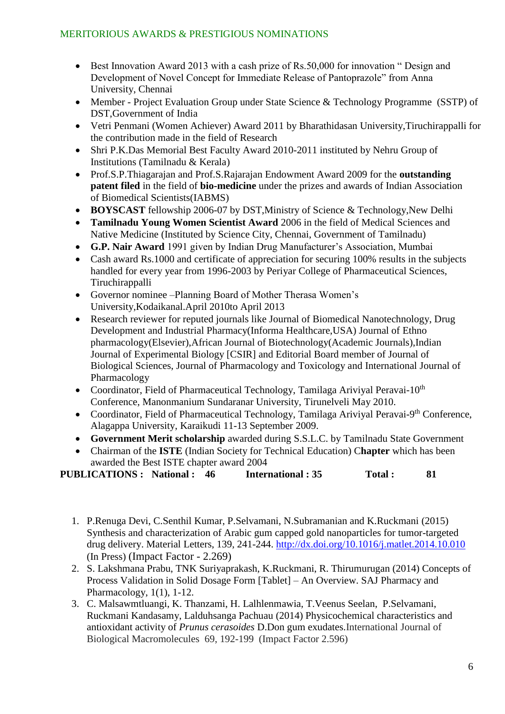- Best Innovation Award 2013 with a cash prize of Rs.50,000 for innovation " Design and Development of Novel Concept for Immediate Release of Pantoprazole" from Anna University, Chennai
- Member Project Evaluation Group under State Science & Technology Programme (SSTP) of DST,Government of India
- Vetri Penmani (Women Achiever) Award 2011 by Bharathidasan University,Tiruchirappalli for the contribution made in the field of Research
- Shri P.K.Das Memorial Best Faculty Award 2010-2011 instituted by Nehru Group of Institutions (Tamilnadu & Kerala)
- Prof.S.P.Thiagarajan and Prof.S.Rajarajan Endowment Award 2009 for the **outstanding patent filed** in the field of **bio-medicine** under the prizes and awards of Indian Association of Biomedical Scientists(IABMS)
- **BOYSCAST** fellowship 2006-07 by DST, Ministry of Science & Technology, New Delhi
- **Tamilnadu Young Women Scientist Award** 2006 in the field of Medical Sciences and Native Medicine (Instituted by Science City, Chennai, Government of Tamilnadu)
- **G.P. Nair Award** 1991 given by Indian Drug Manufacturer's Association, Mumbai
- Cash award Rs.1000 and certificate of appreciation for securing 100% results in the subjects handled for every year from 1996-2003 by Periyar College of Pharmaceutical Sciences, Tiruchirappalli
- Governor nominee –Planning Board of Mother Therasa Women's University,Kodaikanal.April 2010to April 2013
- Research reviewer for reputed journals like Journal of Biomedical Nanotechnology, Drug Development and Industrial Pharmacy(Informa Healthcare,USA) Journal of Ethno pharmacology(Elsevier),African Journal of Biotechnology(Academic Journals),Indian Journal of Experimental Biology [CSIR] and Editorial Board member of Journal of Biological Sciences, Journal of Pharmacology and Toxicology and International Journal of Pharmacology
- Coordinator, Field of Pharmaceutical Technology, Tamilaga Arivival Peravai-10<sup>th</sup> Conference, Manonmanium Sundaranar University, Tirunelveli May 2010.
- Coordinator, Field of Pharmaceutical Technology, Tamilaga Ariviyal Peravai-9<sup>th</sup> Conference, Alagappa University, Karaikudi 11-13 September 2009.
- **Government Merit scholarship** awarded during S.S.L.C. by Tamilnadu State Government
- Chairman of the **ISTE** (Indian Society for Technical Education) C**hapter** which has been awarded the Best ISTE chapter award 2004

**PUBLICATIONS : National : 46 International : 35 Total : 81**

- 1. P.Renuga Devi, C.Senthil Kumar, P.Selvamani, N.Subramanian and K.Ruckmani (2015) Synthesis and characterization of Arabic gum capped gold nanoparticles for tumor-targeted drug delivery. Material Letters, 139, 241-244. <http://dx.doi.org/10.1016/j.matlet.2014.10.010> (In Press) (Impact Factor - 2.269)
- 2. S. Lakshmana Prabu, TNK Suriyaprakash, K.Ruckmani, R. Thirumurugan (2014) Concepts of Process Validation in Solid Dosage Form [Tablet] – An Overview. SAJ Pharmacy and Pharmacology, 1(1), 1-12.
- 3. C. Malsawmtluangi, K. Thanzami, H. Lalhlenmawia, T.Veenus Seelan, P.Selvamani, Ruckmani Kandasamy, Lalduhsanga Pachuau (2014) Physicochemical characteristics and antioxidant activity of *Prunus cerasoides* D.Don gum exudates.International Journal of Biological Macromolecules 69, 192-199 (Impact Factor 2.596)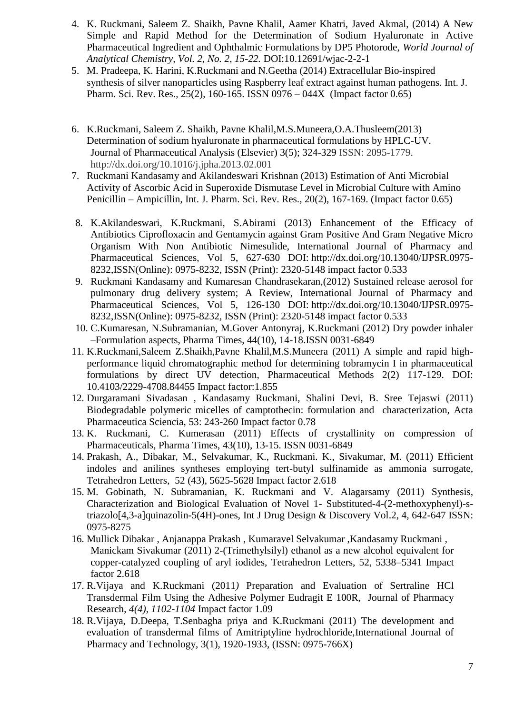- 4. K. Ruckmani, Saleem Z. Shaikh, Pavne Khalil, Aamer Khatri, Javed Akmal, (2014) A New Simple and Rapid Method for the Determination of Sodium Hyaluronate in Active Pharmaceutical Ingredient and Ophthalmic Formulations by DP5 Photorode, *World Journal of Analytical Chemistry, Vol. 2, No. 2, 15-22.* DOI:10.12691/wjac-2-2-1
- 5. M. Pradeepa, K. Harini, K.Ruckmani and N.Geetha (2014) Extracellular Bio-inspired synthesis of silver nanoparticles using Raspberry leaf extract against human pathogens. Int. J. Pharm. Sci. Rev. Res., 25(2), 160-165. ISSN 0976 – 044X (Impact factor 0.65)
- 6. K.Ruckmani, Saleem Z. Shaikh, Pavne Khalil,M.S.Muneera,O.A.Thusleem(2013) Determination of sodium hyaluronate in pharmaceutical formulations by HPLC-UV. Journal of Pharmaceutical Analysis (Elsevier) 3(5); 324-329 ISSN: 2095-1779. http://dx.doi.org/10.1016/j.jpha.2013.02.001
- 7. Ruckmani Kandasamy and Akilandeswari Krishnan (2013) Estimation of Anti Microbial Activity of Ascorbic Acid in Superoxide Dismutase Level in Microbial Culture with Amino Penicillin – Ampicillin, Int. J. Pharm. Sci. Rev. Res., 20(2), 167-169. (Impact factor 0.65)
- 8. K.Akilandeswari, K.Ruckmani, S.Abirami (2013) Enhancement of the Efficacy of Antibiotics Ciprofloxacin and Gentamycin against Gram Positive And Gram Negative Micro Organism With Non Antibiotic Nimesulide, International Journal of Pharmacy and Pharmaceutical Sciences, Vol 5, 627-630 DOI: [http://dx.doi.org/10.13040/IJPSR.0975-](http://dx.doi.org/10.13040/IJPSR.0975-8232) [8232,](http://dx.doi.org/10.13040/IJPSR.0975-8232)ISSN(Online): 0975-8232, ISSN (Print): 2320-5148 impact factor 0.533
- 9. Ruckmani Kandasamy and Kumaresan Chandrasekaran,(2012) Sustained release aerosol for pulmonary drug delivery system; A Review, International Journal of Pharmacy and Pharmaceutical Sciences, Vol 5, 126-130 DOI: [http://dx.doi.org/10.13040/IJPSR.0975-](http://dx.doi.org/10.13040/IJPSR.0975-8232) [8232,](http://dx.doi.org/10.13040/IJPSR.0975-8232)ISSN(Online): 0975-8232, ISSN (Print): 2320-5148 impact factor 0.533
- 10. C.Kumaresan, N.Subramanian, M.Gover Antonyraj, K.Ruckmani (2012) Dry powder inhaler –Formulation aspects, Pharma Times, 44(10), 14-18.ISSN 0031-6849
- 11. K.Ruckmani,Saleem Z.Shaikh,Pavne Khalil,M.S.Muneera (2011) A simple and rapid highperformance liquid chromatographic method for determining tobramycin I in pharmaceutical formulations by direct UV detection, Pharmaceutical Methods 2(2) 117-129. DOI: 10.4103/2229-4708.84455 Impact factor:1.855
- 12. Durgaramani Sivadasan , Kandasamy Ruckmani, Shalini Devi, B. Sree Tejaswi (2011) Biodegradable polymeric micelles of camptothecin: formulation and characterization, Acta Pharmaceutica Sciencia, 53: 243-260 Impact factor 0.78
- 13. K. Ruckmani, C. Kumerasan (2011) Effects of crystallinity on compression of Pharmaceuticals, Pharma Times, 43(10), 13-15. ISSN 0031-6849
- 14. [Prakash, A.,](http://www.scopus.com.scopeesprx.elsevier.com/authid/detail.url?origin=resultslist&authorId=51663747200&zone=) [Dibakar, M.,](http://www.scopus.com.scopeesprx.elsevier.com/authid/detail.url?origin=resultslist&authorId=51663082900&zone=) [Selvakumar, K.,](http://www.scopus.com.scopeesprx.elsevier.com/authid/detail.url?origin=resultslist&authorId=6603956638&zone=) [Ruckmani. K.,](http://www.scopus.com.scopeesprx.elsevier.com/authid/detail.url?origin=resultslist&authorId=35488789100&zone=) [Sivakumar, M.](http://www.scopus.com.scopeesprx.elsevier.com/authid/detail.url?origin=resultslist&authorId=35238930900&zone=) (2011) [Efficient](http://www.scopus.com.scopeesprx.elsevier.com/record/display.url?eid=2-s2.0-80053203288&origin=resultslist&sort=plf-f&src=s&st1=ruckmani&st2=k&nlo=1&nlr=20&nls=count-f&sid=D0tqRp9Q4wUPIyRAbQkfjzs%3a63&sot=anl&sdt=aut&sl=40&s=AU-ID%28%22Ruckmani%2c+Kandasamy%22+35488789100%29&relpos=0&relpos=0&searchTerm=AU-ID%28%5C%22Ruckmani,%20Kandasamy%5C%22%2035488789100%29)  [indoles and anilines syntheses employing tert-butyl sulfinamide as ammonia surrogate,](http://www.scopus.com.scopeesprx.elsevier.com/record/display.url?eid=2-s2.0-80053203288&origin=resultslist&sort=plf-f&src=s&st1=ruckmani&st2=k&nlo=1&nlr=20&nls=count-f&sid=D0tqRp9Q4wUPIyRAbQkfjzs%3a63&sot=anl&sdt=aut&sl=40&s=AU-ID%28%22Ruckmani%2c+Kandasamy%22+35488789100%29&relpos=0&relpos=0&searchTerm=AU-ID%28%5C%22Ruckmani,%20Kandasamy%5C%22%2035488789100%29) [Tetrahedron Letters,](http://www.scopus.com.scopeesprx.elsevier.com/source/sourceInfo.url?sourceId=26514&origin=resultslist) 52 (43), 5625-5628 Impact factor 2.618
- 15. M. Gobinath, N. Subramanian, K. Ruckmani and V. Alagarsamy (2011) Synthesis, Characterization and Biological Evaluation of Novel 1- Substituted-4-(2-methoxyphenyl)-striazolo[4,3-a]quinazolin-5(4H)-ones, Int J Drug Design & Discovery Vol.2, 4, 642-647 ISSN: 0975-8275
- 16. Mullick Dibakar , Anjanappa Prakash , Kumaravel Selvakumar ,Kandasamy Ruckmani , Manickam Sivakumar (2011) 2-(Trimethylsilyl) ethanol as a new alcohol equivalent for copper-catalyzed coupling of aryl iodides, Tetrahedron Letters, 52, 5338–5341 Impact factor 2.618
- 17. R.Vijaya and K.Ruckmani (2011*)* Preparation and Evaluation of Sertraline HCl Transdermal Film Using the Adhesive Polymer Eudragit E 100R, Journal of Pharmacy Research, *4(4), 1102-1104* Impact factor 1.09
- 18. R.Vijaya, D.Deepa, T.Senbagha priya and K.Ruckmani (2011) The development and evaluation of transdermal films of Amitriptyline hydrochloride,International Journal of Pharmacy and Technology, 3(1), 1920-1933, (ISSN: 0975-766X)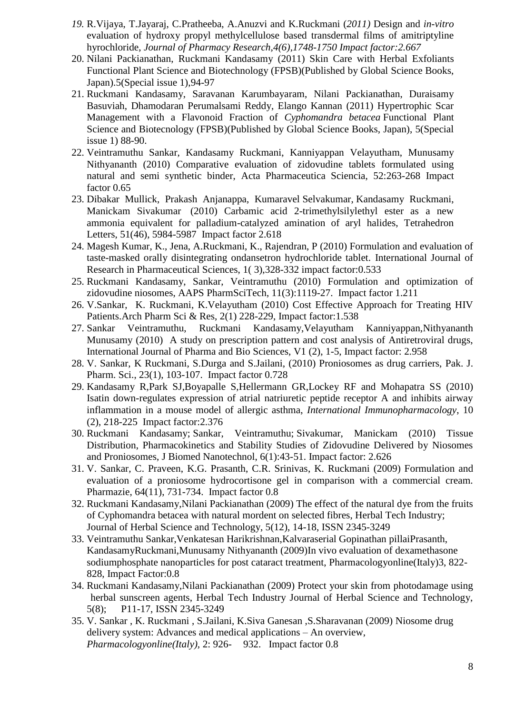- *19.* R.Vijaya, T.Jayaraj, C.Pratheeba, A.Anuzvi and K.Ruckmani (*2011)* Design and *in-vitro*  evaluation of hydroxy propyl methylcellulose based transdermal films of amitriptyline hyrochloride, *Journal of Pharmacy Research,4(6),1748-1750 Impact factor:2.667*
- 20. Nilani Packianathan, Ruckmani Kandasamy (2011) Skin Care with Herbal Exfoliants Functional Plant Science and Biotechnology (FPSB)(Published by Global Science Books, Japan).5(Special issue 1),94-97
- 21. Ruckmani Kandasamy, Saravanan Karumbayaram, Nilani Packianathan, Duraisamy Basuviah, Dhamodaran Perumalsami Reddy, Elango Kannan (2011) Hypertrophic Scar Management with a Flavonoid Fraction of *Cyphomandra betacea* Functional Plant Science and Biotecnology (FPSB)(Published by Global Science Books, Japan), 5(Special issue 1) 88-90.
- 22. Veintramuthu Sankar, Kandasamy Ruckmani, Kanniyappan Velayutham, Munusamy Nithyananth (2010) Comparative evaluation of zidovudine tablets formulated using natural and semi synthetic binder, Acta Pharmaceutica Sciencia, 52:263-268 Impact factor 0.65
- 23. Dibakar Mullick, Prakash Anjanappa, Kumaravel Selvakumar, Kandasamy Ruckmani, Manickam Sivakumar (2010) Carbamic acid 2-trimethylsilylethyl ester as a new ammonia equivalent for palladium-catalyzed amination of aryl halides, Tetrahedron Letters, [51\(46\)](http://www.sciencedirect.com/science?_ob=PublicationURL&_tockey=%23TOC%235290%232010%23999489953%232493740%23FLA%23&_cdi=5290&_pubType=J&view=c&_auth=y&_acct=C000050221&_version=1&_urlVersion=0&_userid=10&md5=e1b6703bcc720d925a73e74b017ed75d), 5984-5987 Impact factor 2.618
- 24. [Magesh Kumar, K.,](http://www.scopus.com.scopeesprx.elsevier.com/authid/detail.url?authorId=36348520700) [Jena, A.Ruckmani, K.,](http://www.scopus.com.scopeesprx.elsevier.com/authid/detail.url?authorId=36348553500) [Rajendran, P](http://www.scopus.com.scopeesprx.elsevier.com/authid/detail.url?authorId=36348693000) (2010) Formulation and evaluation of taste-masked orally disintegrating ondansetron hydrochloride tablet. International Journal of Research in Pharmaceutical Sciences, 1( 3),328-332 impact factor:0.533
- 25. Ruckmani Kandasamy, Sankar, Veintramuthu (2010) Formulation and optimization of zidovudine niosomes, AAPS PharmSciTech, 11(3):1119-27. Impact factor 1.211
- 26. V.Sankar, K. Ruckmani, K.Velayutham (2010) Cost Effective Approach for Treating HIV Patients.Arch Pharm Sci & Res, 2(1) 228-229, Impact factor:1.538
- 27. Sankar Veintramuthu, Ruckmani Kandasamy,Velayutham Kanniyappan,Nithyananth Munusamy (2010) A study on prescription pattern and cost analysis of Antiretroviral drugs, International Journal of Pharma and Bio Sciences, V1 (2), 1-5, Impact factor: 2.958
- 28. V. Sankar, K Ruckmani, S.Durga and S.Jailani, (2010) Proniosomes as drug carriers, Pak. J. Pharm. Sci., 23(1), 103-107. Impact factor 0.728
- 29. Kandasamy R,Park SJ,Boyapalle S,Hellermann GR,Lockey RF and Mohapatra SS (2010) Isatin down-regulates expression of atrial natriuretic peptide receptor A and inhibits airway inflammation in a mouse model of allergic asthma, *International Immunopharmacology*, 10 (2), 218-225 Impact factor:2.376
- 30. Ruckmani Kandasamy; Sankar, Veintramuthu; Sivakumar, Manickam (2010) Tissue Distribution, Pharmacokinetics and Stability Studies of Zidovudine Delivered by Niosomes and Proniosomes, J Biomed Nanotechnol, 6(1):43-51. Impact factor: 2.626
- 31. V. Sankar, C. Praveen, K.G. Prasanth, C.R. Srinivas, K. Ruckmani (2009) Formulation and evaluation of a proniosome hydrocortisone gel in comparison with a commercial cream. Pharmazie, 64(11), 731-734. Impact factor 0.8
- 32. Ruckmani Kandasamy,Nilani Packianathan (2009) The effect of the natural dye from the fruits of Cyphomandra betacea with natural mordent on selected fibres, Herbal Tech Industry; Journal of Herbal Science and Technology, 5(12), 14-18, ISSN 2345-3249
- 33. Veintramuthu Sankar,Venkatesan Harikrishnan,Kalvaraserial Gopinathan pillaiPrasanth, KandasamyRuckmani,Munusamy Nithyananth (2009)In vivo evaluation of dexamethasone sodiumphosphate nanoparticles for post cataract treatment, Pharmacologyonline(Italy)3, 822- 828, Impact Factor:0.8
- 34. Ruckmani Kandasamy,Nilani Packianathan (2009) Protect your skin from photodamage using herbal sunscreen agents, Herbal Tech Industry Journal of Herbal Science and Technology, 5(8); P11-17, ISSN 2345-3249
- 35. V. Sankar , K. Ruckmani , S.Jailani, K.Siva Ganesan ,S.Sharavanan (2009) Niosome drug delivery system: Advances and medical applications – An overview, *Pharmacologyonline(Italy),* 2: 926- 932. Impact factor 0.8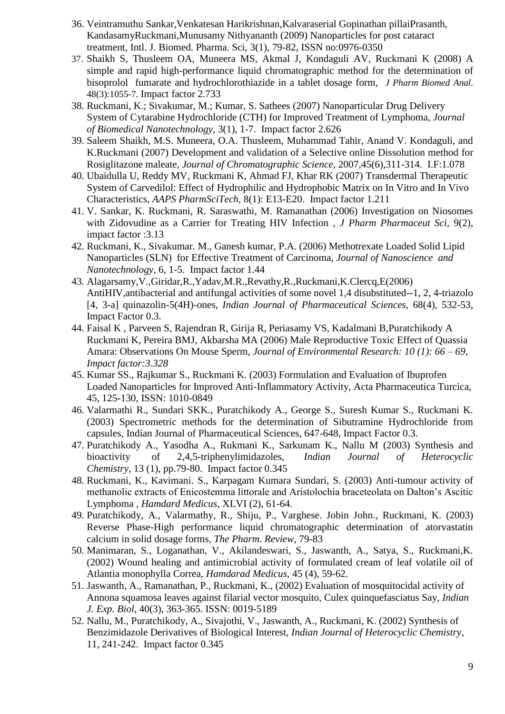- 36. Veintramuthu Sankar,Venkatesan Harikrishnan,Kalvaraserial Gopinathan pillaiPrasanth, KandasamyRuckmani,Munusamy Nithyananth (2009) Nanoparticles for post cataract treatment, Intl. J. Biomed. Pharma. Sci, 3(1), 79-82, ISSN no:0976-0350
- 37. Shaikh S, Thusleem OA, Muneera MS, Akmal J, Kondaguli AV, Ruckmani K (2008) A simple and rapid high-performance liquid chromatographic method for the determination of bisoprolol fumarate and hydrochlorothiazide in a tablet dosage form, *J Pharm Biomed Anal.* 48(3):1055-7. Impact factor 2.733
- 38. Ruckmani, K.; Sivakumar, M.; Kumar, S. Sathees (2007) Nanoparticular Drug Delivery System of Cytarabine Hydrochloride (CTH) for Improved Treatment of Lymphoma, *Journal of Biomedical Nanotechnology*, 3(1), 1-7. Impact factor 2.626
- 39. Saleem Shaikh, M.S. Muneera, O.A. Thusleem, Muhammad Tahir, Anand V. Kondaguli, and K.Ruckmani (2007) Development and validation of a Selective online Dissolution method for Rosiglitazone maleate, *Journal of Chromatographic Science*, 2007,45(6),311-314. I.F:1.078
- 40. Ubaidulla U, Reddy MV, Ruckmani K, Ahmad FJ, Khar RK (2007) Transdermal Therapeutic System of Carvedilol: Effect of Hydrophilic and Hydrophobic Matrix on In Vitro and In Vivo Characteristics, *AAPS PharmSciTech*, 8(1): E13-E20. Impact factor 1.211
- 41. V. Sankar, K. Ruckmani, R. Saraswathi, M. Ramanathan (2006) Investigation on Niosomes with Zidovudine as a Carrier for Treating HIV Infection , *J Pharm Pharmaceut Sci,* 9(2), impact factor :3.13
- 42. Ruckmani, K., Sivakumar. M., Ganesh kumar, P.A. (2006) Methotrexate Loaded Solid Lipid Nanoparticles (SLN) for Effective Treatment of Carcinoma, *Journal of Nanoscience and Nanotechnology*, 6, 1-5. Impact factor 1.44
- 43. Alagarsamy,V.,Giridar,R.,Yadav,M.R.,Revathy,R.,Ruckmani,K.Clercq,E(2006) AntiHIV,antibacterial and antifungal activities of some novel 1,4 disubstituted--1, 2, 4-triazolo [4, 3-a] quinazolin-5(4H)-ones, *Indian Journal of Pharmaceutical Sciences*, 68(4), 532-53, Impact Factor 0.3.
- 44. Faisal K , Parveen S, Rajendran R, Girija R, Periasamy VS, Kadalmani B,Puratchikody A Ruckmani K, Pereira BMJ, Akbarsha MA (2006) Male Reproductive Toxic Effect of Quassia Amara: Observations On Mouse Sperm, *Journal of Environmental Research: 10 (1): 66 – 69, Impact factor:3.328*
- 45. Kumar SS., Rajkumar S., Ruckmani K. (2003) Formulation and Evaluation of Ibuprofen Loaded Nanoparticles for Improved Anti-Inflammatory Activity, Acta Pharmaceutica Turcica, 45, 125-130, ISSN: 1010-0849
- 46. Valarmathi R., Sundari SKK., Puratchikody A., George S., Suresh Kumar S., Ruckmani K. (2003) Spectrometric methods for the determination of Sibutramine Hydrochloride from capsules, Indian Journal of Pharmaceutical Sciences, 647-648, Impact Factor 0.3.
- 47. Puratchikody A., Yasodha A., Rukmani K., Sarkunam K., Nallu M (2003) Synthesis and bioactivity of 2,4,5-triphenylimidazoles, *Indian Journal of Heterocyclic Chemistry*, 13 (1), pp.79-80. Impact factor 0.345
- 48. Ruckmani, K., Kavimani. S., Karpagam Kumara Sundari, S. (2003) Anti-tumour activity of methanolic extracts of Enicostemma littorale and Aristolochia braceteolata on Dalton's Ascitic Lymphoma , *Hamdard Medicus*, XLVI (2), 61-64.
- 49. Puratchikody, A., Valarmathy, R., Shiju, P., Varghese. Jobin John., Ruckmani, K. (2003) Reverse Phase-High performance liquid chromatographic determination of atorvastatin calcium in solid dosage forms, *The Pharm. Review*, 79-83
- 50. Manimaran, S., Loganathan, V., Akilandeswari, S., Jaswanth, A., Satya, S., Ruckmani,K. (2002) Wound healing and antimicrobial activity of formulated cream of leaf volatile oil of Atlantia monophylla Correa, *Hamdarad Medicus*, 45 (4), 59-62.
- 51. Jaswanth, A., Ramanathan, P., Ruckmani, K., (2002) Evaluation of mosquitocidal activity of Annona squamosa leaves against filarial vector mosquito, Culex quinquefasciatus Say, *Indian J. Exp. Biol*, 40(3), 363-365. ISSN: 0019-5189
- 52. Nallu, M., Puratchikody, A., Sivajothi, V., Jaswanth, A., Ruckmani, K. (2002) Synthesis of Benzimidazole Derivatives of Biological Interest, *Indian Journal of Heterocyclic Chemistry*, 11, 241-242. Impact factor 0.345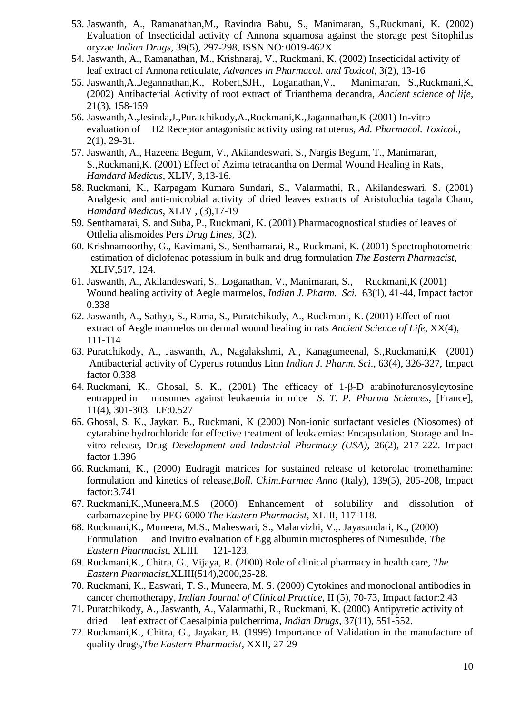- 53. Jaswanth, A., Ramanathan,M., Ravindra Babu, S., Manimaran, S.,Ruckmani, K. (2002) Evaluation of Insecticidal activity of Annona squamosa against the storage pest Sitophilus oryzae *Indian Drugs*, 39(5), 297-298, ISSN NO: 0019-462X
- 54. Jaswanth, A., Ramanathan, M., Krishnaraj, V., Ruckmani, K. (2002) Insecticidal activity of leaf extract of Annona reticulate, *Advances in Pharmacol. and Toxicol*, 3(2), 13-16
- 55. Jaswanth,A.,Jegannathan,K., Robert,SJH., Loganathan,V., Manimaran, S.,Ruckmani,K, (2002) Antibacterial Activity of root extract of Trianthema decandra, *Ancient science of life*, 21(3), 158-159
- 56. Jaswanth,A.,Jesinda,J.,Puratchikody,A.,Ruckmani,K.,Jagannathan,K (2001) In-vitro evaluation of H2 Receptor antagonistic activity using rat uterus, *Ad. Pharmacol. Toxicol.*, 2(1), 29-31.
- 57. Jaswanth, A., Hazeena Begum, V., Akilandeswari, S., Nargis Begum, T., Manimaran, S.,Ruckmani,K. (2001) Effect of Azima tetracantha on Dermal Wound Healing in Rats, *Hamdard Medicus*, XLIV, 3,13-16.
- 58. Ruckmani, K., Karpagam Kumara Sundari, S., Valarmathi, R., Akilandeswari, S. (2001) Analgesic and anti-microbial activity of dried leaves extracts of Aristolochia tagala Cham, *Hamdard Medicus*, XLIV , (3),17-19
- 59. Senthamarai, S. and Suba, P., Ruckmani, K. (2001) Pharmacognostical studies of leaves of Ottlelia alismoides Pers *Drug Lines*, 3(2).
- 60. Krishnamoorthy, G., Kavimani, S., Senthamarai, R., Ruckmani, K. (2001) Spectrophotometric estimation of diclofenac potassium in bulk and drug formulation *The Eastern Pharmacist*, XLIV,517, 124.
- 61. Jaswanth, A., Akilandeswari, S., Loganathan, V., Manimaran, S., Ruckmani,K (2001) Wound healing activity of Aegle marmelos, *Indian J. Pharm. Sci.* 63(1), 41-44, Impact factor 0.338
- 62. Jaswanth, A., Sathya, S., Rama, S., Puratchikody, A., Ruckmani, K. (2001) Effect of root extract of Aegle marmelos on dermal wound healing in rats *Ancient Science of Life*, XX(4), 111-114
- 63. Puratchikody, A., Jaswanth, A., Nagalakshmi, A., Kanagumeenal, S.,Ruckmani,K (2001) Antibacterial activity of Cyperus rotundus Linn *Indian J. Pharm. Sci*., 63(4), 326-327, Impact factor 0.338
- 64. Ruckmani, K., Ghosal, S. K., (2001) The efficacy of 1-β-D arabinofuranosylcytosine entrapped in niosomes against leukaemia in mice *S. T. P. Pharma Sciences*, [France], 11(4), 301-303. I.F:0.527
- 65. Ghosal, S. K., Jaykar, B., Ruckmani, K (2000) Non-ionic surfactant vesicles (Niosomes) of cytarabine hydrochloride for effective treatment of leukaemias: Encapsulation, Storage and Invitro release, Drug *Development and Industrial Pharmacy (USA),* 26(2), 217-222. Impact factor 1.396
- 66. Ruckmani, K., (2000) Eudragit matrices for sustained release of ketorolac tromethamine: formulation and kinetics of releas*e,Boll. Chim.Farmac Anno* (Italy), 139(5), 205-208, Impact factor:3.741
- 67. Ruckmani,K.,Muneera,M.S (2000) Enhancement of solubility and dissolution of carbamazepine by PEG 6000 *The Eastern Pharmacist*, XLIII, 117-118.
- 68. Ruckmani,K., Muneera, M.S., Maheswari, S., Malarvizhi, V.,. Jayasundari, K., (2000) Formulation and Invitro evaluation of Egg albumin microspheres of Nimesulide, *The Eastern Pharmacist*, XLIII, 121-123.
- 69. Ruckmani,K., Chitra, G., Vijaya, R. (2000) Role of clinical pharmacy in health care, *The Eastern Pharmacist*,XLIII(514),2000,25-28.
- 70. Ruckmani, K., Easwari, T. S., Muneera, M. S. (2000) Cytokines and monoclonal antibodies in cancer chemotherapy, *Indian Journal of Clinical Practice*, II (5), 70-73, Impact factor:2.43
- 71. Puratchikody, A., Jaswanth, A., Valarmathi, R., Ruckmani, K. (2000) Antipyretic activity of dried leaf extract of Caesalpinia pulcherrima, *Indian Drugs*, 37(11), 551-552.
- 72. Ruckmani,K., Chitra, G., Jayakar, B. (1999) Importance of Validation in the manufacture of quality drugs,*The Eastern Pharmacist*, XXII, 27-29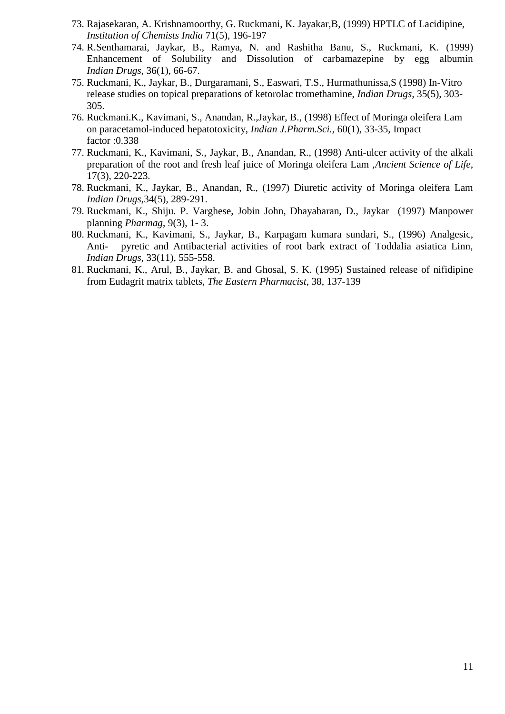- 73. Rajasekaran, A. Krishnamoorthy, G. Ruckmani, K. Jayakar,B, (1999) HPTLC of Lacidipine, *Institution of Chemists India* 71(5), 196-197
- 74. R.Senthamarai, Jaykar, B., Ramya, N. and Rashitha Banu, S., Ruckmani, K. (1999) Enhancement of Solubility and Dissolution of carbamazepine by egg albumin *Indian Drugs,* 36(1), 66-67.
- 75. Ruckmani, K., Jaykar, B., Durgaramani, S., Easwari, T.S., Hurmathunissa,S (1998) In-Vitro release studies on topical preparations of ketorolac tromethamine, *Indian Drugs,* 35(5), 303- 305.
- 76. Ruckmani.K., Kavimani, S., Anandan, R.,Jaykar, B., (1998) Effect of Moringa oleifera Lam on paracetamol-induced hepatotoxicity, *Indian J.Pharm.Sci.,* 60(1), 33-35, Impact factor :0.338
- 77. Ruckmani, K., Kavimani, S., Jaykar, B., Anandan, R., (1998) Anti-ulcer activity of the alkali preparation of the root and fresh leaf juice of Moringa oleifera Lam ,*Ancient Science of Life*, 17(3), 220-223.
- 78. Ruckmani, K., Jaykar, B., Anandan, R., (1997) Diuretic activity of Moringa oleifera Lam *Indian Drugs*,34(5), 289-291.
- 79. Ruckmani, K., Shiju. P. Varghese, Jobin John, Dhayabaran, D., Jaykar (1997) Manpower planning *Pharmag*, 9(3), 1- 3.
- 80. Ruckmani, K., Kavimani, S., Jaykar, B., Karpagam kumara sundari, S., (1996) Analgesic, Anti- pyretic and Antibacterial activities of root bark extract of Toddalia asiatica Linn, *Indian Drugs*, 33(11), 555-558.
- 81. Ruckmani, K., Arul, B., Jaykar, B. and Ghosal, S. K. (1995) Sustained release of nifidipine from Eudagrit matrix tablets, *The Eastern Pharmacist*, 38, 137-139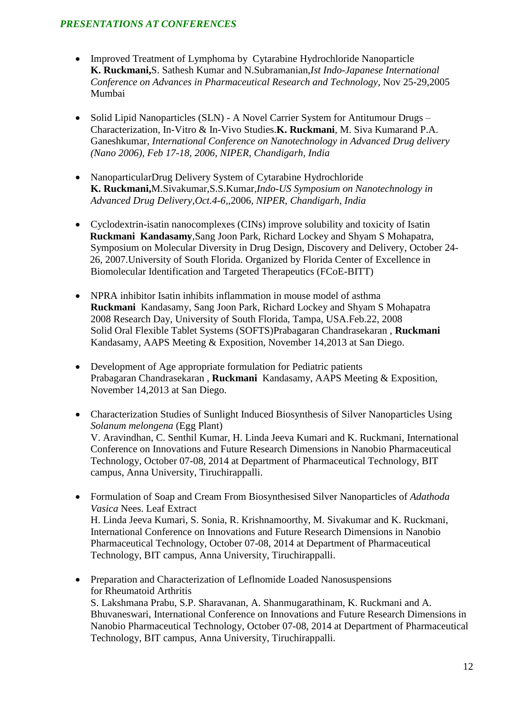### *PRESENTATIONS AT CONFERENCES*

- Improved Treatment of Lymphoma by Cytarabine Hydrochloride Nanoparticle **K. Ruckmani,**S. Sathesh Kumar and N.Subramanian,*Ist Indo-Japanese International Conference on Advances in Pharmaceutical Research and Technology*, Nov 25-29,2005 Mumbai
- Solid Lipid Nanoparticles (SLN) A Novel Carrier System for Antitumour Drugs Characterization, In-Vitro & In-Vivo Studies.**K. Ruckmani**, M. Siva Kumarand P.A. Ganeshkumar*, International Conference on Nanotechnology in Advanced Drug delivery (Nano 2006), Feb 17-18, 2006, NIPER, Chandigarh, India*
- NanoparticularDrug Delivery System of Cytarabine Hydrochloride  **K. Ruckmani,**M.Sivakumar,S.S.Kumar,*Indo-US Symposium on Nanotechnology in Advanced Drug Delivery*,*Oct.4-6,*,2006*, NIPER, Chandigarh, India*
- Cyclodextrin-isatin nanocomplexes (CINs) improve solubility and toxicity of Isatin **Ruckmani Kandasamy**,Sang Joon Park, Richard Lockey and Shyam S Mohapatra, Symposium on Molecular Diversity in Drug Design, Discovery and Delivery, October 24- 26, 2007.University of South Florida. Organized by Florida Center of Excellence in Biomolecular Identification and Targeted Therapeutics (FCoE-BITT)
- NPRA inhibitor Isatin inhibits inflammation in mouse model of asthma **Ruckmani** Kandasamy, Sang Joon Park, Richard Lockey and Shyam S Mohapatra 2008 Research Day, University of South Florida, Tampa, USA.Feb.22, 2008 Solid Oral Flexible Tablet Systems (SOFTS)Prabagaran Chandrasekaran , **Ruckmani**  Kandasamy, AAPS Meeting & Exposition, November 14,2013 at San Diego.
- Development of Age appropriate formulation for Pediatric patients Prabagaran Chandrasekaran , **Ruckmani** Kandasamy, AAPS Meeting & Exposition, November 14,2013 at San Diego.
- Characterization Studies of Sunlight Induced Biosynthesis of Silver Nanoparticles Using *Solanum melongena* (Egg Plant) V. Aravindhan, C. Senthil Kumar, H. Linda Jeeva Kumari and K. Ruckmani, International Conference on Innovations and Future Research Dimensions in Nanobio Pharmaceutical Technology, October 07-08, 2014 at Department of Pharmaceutical Technology, BIT campus, Anna University, Tiruchirappalli.
- Formulation of Soap and Cream From Biosynthesised Silver Nanoparticles of *Adathoda Vasica* Nees. Leaf Extract H. Linda Jeeva Kumari, S. Sonia, R. Krishnamoorthy, M. Sivakumar and K. Ruckmani, International Conference on Innovations and Future Research Dimensions in Nanobio Pharmaceutical Technology, October 07-08, 2014 at Department of Pharmaceutical Technology, BIT campus, Anna University, Tiruchirappalli.
- Preparation and Characterization of Leflnomide Loaded Nanosuspensions for Rheumatoid Arthritis S. Lakshmana Prabu, S.P. Sharavanan, A. Shanmugarathinam, K. Ruckmani and A. Bhuvaneswari, International Conference on Innovations and Future Research Dimensions in Nanobio Pharmaceutical Technology, October 07-08, 2014 at Department of Pharmaceutical Technology, BIT campus, Anna University, Tiruchirappalli.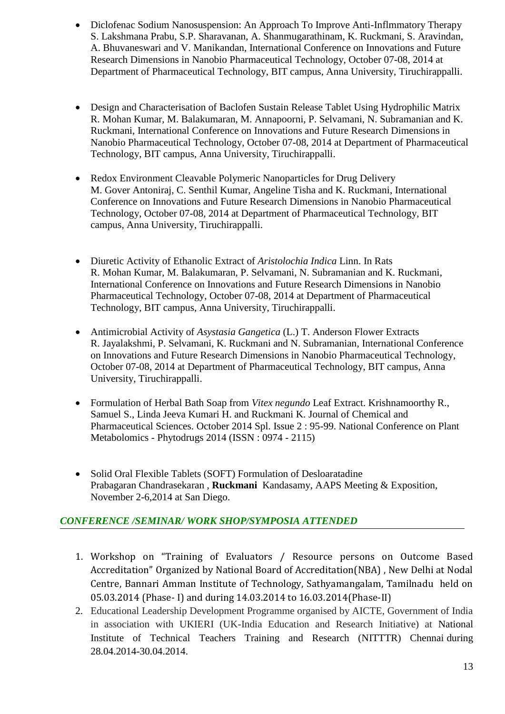- Diclofenac Sodium Nanosuspension: An Approach To Improve Anti-Inflmmatory Therapy S. Lakshmana Prabu, S.P. Sharavanan, A. Shanmugarathinam, K. Ruckmani, S. Aravindan, A. Bhuvaneswari and V. Manikandan, International Conference on Innovations and Future Research Dimensions in Nanobio Pharmaceutical Technology, October 07-08, 2014 at Department of Pharmaceutical Technology, BIT campus, Anna University, Tiruchirappalli.
- Design and Characterisation of Baclofen Sustain Release Tablet Using Hydrophilic Matrix R. Mohan Kumar, M. Balakumaran, M. Annapoorni, P. Selvamani, N. Subramanian and K. Ruckmani, International Conference on Innovations and Future Research Dimensions in Nanobio Pharmaceutical Technology, October 07-08, 2014 at Department of Pharmaceutical Technology, BIT campus, Anna University, Tiruchirappalli.
- Redox Environment Cleavable Polymeric Nanoparticles for Drug Delivery M. Gover Antoniraj, C. Senthil Kumar, Angeline Tisha and K. Ruckmani, International Conference on Innovations and Future Research Dimensions in Nanobio Pharmaceutical Technology, October 07-08, 2014 at Department of Pharmaceutical Technology, BIT campus, Anna University, Tiruchirappalli.
- Diuretic Activity of Ethanolic Extract of *Aristolochia Indica* Linn. In Rats R. Mohan Kumar, M. Balakumaran, P. Selvamani, N. Subramanian and K. Ruckmani, International Conference on Innovations and Future Research Dimensions in Nanobio Pharmaceutical Technology, October 07-08, 2014 at Department of Pharmaceutical Technology, BIT campus, Anna University, Tiruchirappalli.
- Antimicrobial Activity of *Asystasia Gangetica* (L.) T. Anderson Flower Extracts R. Jayalakshmi, P. Selvamani, K. Ruckmani and N. Subramanian, International Conference on Innovations and Future Research Dimensions in Nanobio Pharmaceutical Technology, October 07-08, 2014 at Department of Pharmaceutical Technology, BIT campus, Anna University, Tiruchirappalli.
- Formulation of Herbal Bath Soap from *Vitex negundo* Leaf Extract. Krishnamoorthy R., Samuel S., Linda Jeeva Kumari H. and Ruckmani K. Journal of Chemical and Pharmaceutical Sciences. October 2014 Spl. Issue 2 : 95-99. National Conference on Plant Metabolomics - Phytodrugs 2014 (ISSN : 0974 - 2115)
- Solid Oral Flexible Tablets (SOFT) Formulation of Desloaratadine Prabagaran Chandrasekaran , **Ruckmani** Kandasamy, AAPS Meeting & Exposition, November 2-6,2014 at San Diego.

## *CONFERENCE /SEMINAR/ WORK SHOP/SYMPOSIA ATTENDED*

- 1. Workshop on "Training of Evaluators / Resource persons on Outcome Based Accreditation" Organized by National Board of Accreditation(NBA) , New Delhi at Nodal Centre, Bannari Amman Institute of Technology, Sathyamangalam, Tamilnadu held on 05.03.2014 (Phase- I) and during 14.03.2014 to 16.03.2014(Phase-II)
- 2. Educational Leadership Development Programme organised by AICTE, Government of India in association with UKIERI (UK-India Education and Research Initiative) at National Institute of Technical Teachers Training and Research (NITTTR) Chennai during 28.04.2014-30.04.2014.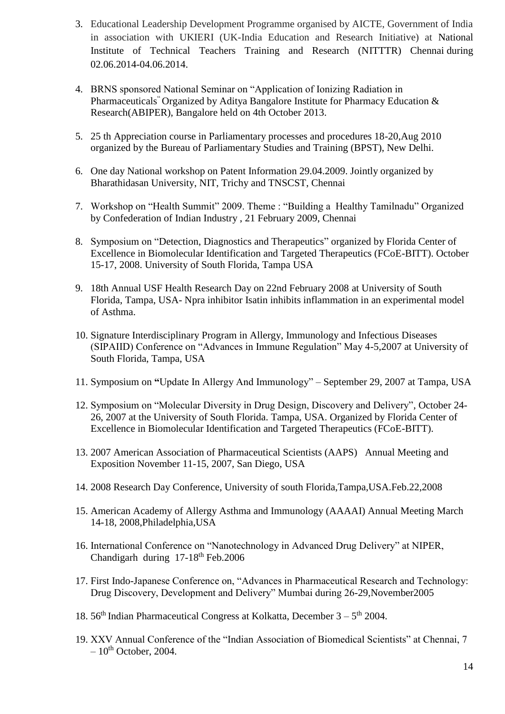- 3. Educational Leadership Development Programme organised by AICTE, Government of India in association with UKIERI (UK-India Education and Research Initiative) at National Institute of Technical Teachers Training and Research (NITTTR) Chennai during 02.06.2014-04.06.2014.
- 4. BRNS sponsored National Seminar on "Application of Ionizing Radiation in Pharmaceuticals" Organized by Aditya Bangalore Institute for Pharmacy Education & Research(ABIPER), Bangalore held on 4th October 2013.
- 5. 25 th Appreciation course in Parliamentary processes and procedures 18-20,Aug 2010 organized by the Bureau of Parliamentary Studies and Training (BPST), New Delhi.
- 6. One day National workshop on Patent Information 29.04.2009. Jointly organized by Bharathidasan University, NIT, Trichy and TNSCST, Chennai
- 7. Workshop on "Health Summit" 2009. Theme : "Building a Healthy Tamilnadu" Organized by Confederation of Indian Industry , 21 February 2009, Chennai
- 8. Symposium on "Detection, Diagnostics and Therapeutics" organized by Florida Center of Excellence in Biomolecular Identification and Targeted Therapeutics (FCoE-BITT). October 15-17, 2008. University of South Florida, Tampa USA
- 9. 18th Annual USF Health Research Day on 22nd February 2008 at University of South Florida, Tampa, USA- Npra inhibitor Isatin inhibits inflammation in an experimental model of Asthma.
- 10. Signature Interdisciplinary Program in Allergy, Immunology and Infectious Diseases (SIPAIID) Conference on "Advances in Immune Regulation" May 4-5,2007 at University of South Florida, Tampa, USA
- 11. Symposium on **"**Update In Allergy And Immunology" September 29, 2007 at Tampa, USA
- 12. Symposium on "Molecular Diversity in Drug Design, Discovery and Delivery", October 24- 26, 2007 at the University of South Florida. Tampa, USA. Organized by Florida Center of Excellence in Biomolecular Identification and Targeted Therapeutics (FCoE-BITT).
- 13. 2007 American Association of Pharmaceutical Scientists (AAPS) Annual Meeting and Exposition November 11-15, 2007, San Diego, USA
- 14. 2008 Research Day Conference, University of south Florida,Tampa,USA.Feb.22,2008
- 15. American Academy of Allergy Asthma and Immunology (AAAAI) Annual Meeting March 14-18, 2008,Philadelphia,USA
- 16. International Conference on "Nanotechnology in Advanced Drug Delivery" at NIPER, Chandigarh during 17-18th Feb.2006
- 17. First Indo-Japanese Conference on, "Advances in Pharmaceutical Research and Technology: Drug Discovery, Development and Delivery" Mumbai during 26-29,November2005
- 18.  $56<sup>th</sup>$  Indian Pharmaceutical Congress at Kolkatta, December  $3 5<sup>th</sup>$  2004.
- 19. XXV Annual Conference of the "Indian Association of Biomedical Scientists" at Chennai, 7  $-10^{th}$  October, 2004.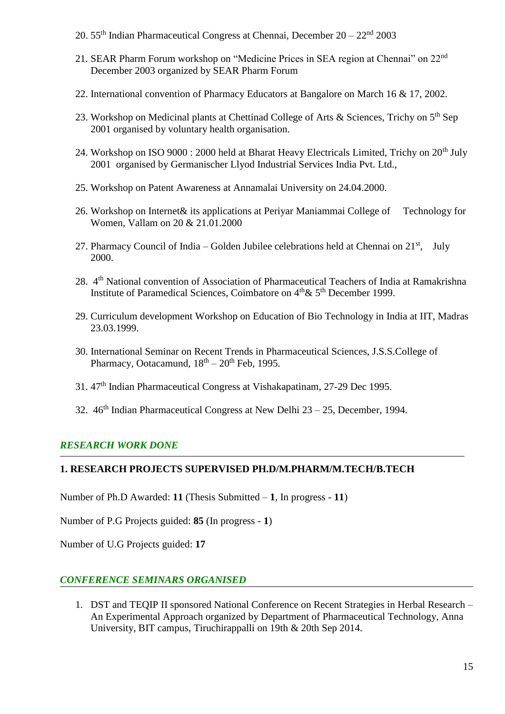- 20. 55<sup>th</sup> Indian Pharmaceutical Congress at Chennai, December  $20 22<sup>nd</sup>$  2003
- 21. SEAR Pharm Forum workshop on "Medicine Prices in SEA region at Chennai" on 22nd December 2003 organized by SEAR Pharm Forum
- 22. International convention of Pharmacy Educators at Bangalore on March 16 & 17, 2002.
- 23. Workshop on Medicinal plants at Chettinad College of Arts & Sciences, Trichy on 5<sup>th</sup> Sep 2001 organised by voluntary health organisation.
- 24. Workshop on ISO 9000 : 2000 held at Bharat Heavy Electricals Limited, Trichy on 20<sup>th</sup> July 2001 organised by Germanischer Llyod Industrial Services India Pvt. Ltd.,
- 25. Workshop on Patent Awareness at Annamalai University on 24.04.2000.
- 26. Workshop on Internet& its applications at Periyar Maniammai College of Technology for Women, Vallam on 20 & 21.01.2000
- 27. Pharmacy Council of India Golden Jubilee celebrations held at Chennai on  $21^{st}$ , July 2000.
- 28. 4<sup>th</sup> National convention of Association of Pharmaceutical Teachers of India at Ramakrishna Institute of Paramedical Sciences, Coimbatore on  $4<sup>th</sup> \& 5<sup>th</sup>$  December 1999.
- 29. Curriculum development Workshop on Education of Bio Technology in India at IIT, Madras 23.03.1999.
- 30. International Seminar on Recent Trends in Pharmaceutical Sciences, J.S.S.College of Pharmacy, Ootacamund,  $18<sup>th</sup> - 20<sup>th</sup>$  Feb, 1995.
- 31. 47th Indian Pharmaceutical Congress at Vishakapatinam, 27-29 Dec 1995.
- 32.  $46<sup>th</sup> Indiannare utical Congress at New Delhi  $23 25$ , December, 1994.$

## *RESEARCH WORK DONE*

### **1. RESEARCH PROJECTS SUPERVISED PH.D/M.PHARM/M.TECH/B.TECH**

Number of Ph.D Awarded: **11** (Thesis Submitted – **1**, In progress - **11**)

Number of P.G Projects guided: **85** (In progress - **1**)

Number of U.G Projects guided: **17**

### *CONFERENCE SEMINARS ORGANISED*

1. DST and TEQIP II sponsored National Conference on Recent Strategies in Herbal Research – An Experimental Approach organized by Department of Pharmaceutical Technology, Anna University, BIT campus, Tiruchirappalli on 19th & 20th Sep 2014.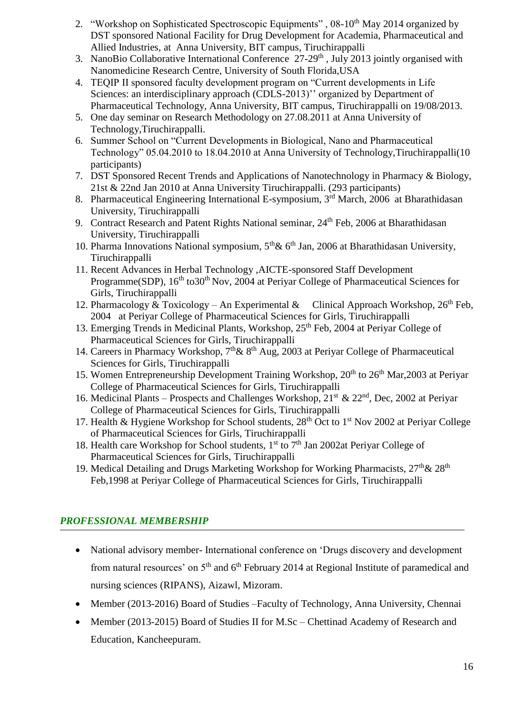- 2. "Workshop on Sophisticated Spectroscopic Equipments", 08-10<sup>th</sup> May 2014 organized by DST sponsored National Facility for Drug Development for Academia, Pharmaceutical and Allied Industries, at Anna University, BIT campus, Tiruchirappalli
- 3. NanoBio Collaborative International Conference 27-29<sup>th</sup>, July 2013 jointly organised with Nanomedicine Research Centre, University of South Florida,USA
- 4. TEQIP II sponsored faculty development program on "Current developments in Life Sciences: an interdisciplinary approach (CDLS-2013)" organized by Department of Pharmaceutical Technology, Anna University, BIT campus, Tiruchirappalli on 19/08/2013.
- 5. One day seminar on Research Methodology on 27.08.2011 at Anna University of Technology,Tiruchirappalli.
- 6. Summer School on "Current Developments in Biological, Nano and Pharmaceutical Technology" 05.04.2010 to 18.04.2010 at Anna University of Technology,Tiruchirappalli(10 participants)
- 7. DST Sponsored Recent Trends and Applications of Nanotechnology in Pharmacy & Biology, 21st & 22nd Jan 2010 at Anna University Tiruchirappalli. (293 participants)
- 8. Pharmaceutical Engineering International E-symposium, 3<sup>rd</sup> March, 2006 at Bharathidasan University, Tiruchirappalli
- 9. Contract Research and Patent Rights National seminar, 24<sup>th</sup> Feb, 2006 at Bharathidasan University, Tiruchirappalli
- 10. Pharma Innovations National symposium,  $5<sup>th</sup>$ & 6<sup>th</sup> Jan, 2006 at Bharathidasan University, Tiruchirappalli
- 11. Recent Advances in Herbal Technology ,AICTE-sponsored Staff Development Programme(SDP),  $16<sup>th</sup>$  to 30<sup>th</sup> Nov, 2004 at Periyar College of Pharmaceutical Sciences for Girls, Tiruchirappalli
- 12. Pharmacology & Toxicology An Experimental & Clinical Approach Workshop,  $26<sup>th</sup>$  Feb, 2004 at Periyar College of Pharmaceutical Sciences for Girls, Tiruchirappalli
- 13. Emerging Trends in Medicinal Plants, Workshop, 25<sup>th</sup> Feb, 2004 at Periyar College of Pharmaceutical Sciences for Girls, Tiruchirappalli
- 14. Careers in Pharmacy Workshop,  $7<sup>th</sup> \& 8<sup>th</sup> Aug, 2003$  at Periyar College of Pharmaceutical Sciences for Girls, Tiruchirappalli
- 15. Women Entrepreneurship Development Training Workshop, 20<sup>th</sup> to 26<sup>th</sup> Mar, 2003 at Periyar College of Pharmaceutical Sciences for Girls, Tiruchirappalli
- 16. Medicinal Plants Prospects and Challenges Workshop,  $21<sup>st</sup> \& 22<sup>nd</sup>$ , Dec, 2002 at Periyar College of Pharmaceutical Sciences for Girls, Tiruchirappalli
- 17. Health & Hygiene Workshop for School students,  $28<sup>th</sup>$  Oct to 1<sup>st</sup> Nov 2002 at Periyar College of Pharmaceutical Sciences for Girls, Tiruchirappalli
- 18. Health care Workshop for School students, 1<sup>st</sup> to 7<sup>th</sup> Jan 2002at Perivar College of Pharmaceutical Sciences for Girls, Tiruchirappalli
- 19. Medical Detailing and Drugs Marketing Workshop for Working Pharmacists,  $27<sup>th</sup> \& 28<sup>th</sup>$ Feb,1998 at Periyar College of Pharmaceutical Sciences for Girls, Tiruchirappalli

## *PROFESSIONAL MEMBERSHIP*

- National advisory member- International conference on 'Drugs discovery and development from natural resources' on  $5<sup>th</sup>$  and  $6<sup>th</sup>$  February 2014 at Regional Institute of paramedical and nursing sciences (RIPANS), Aizawl, Mizoram.
- Member (2013-2016) Board of Studies –Faculty of Technology, Anna University, Chennai
- Member (2013-2015) Board of Studies II for M.Sc Chettinad Academy of Research and Education, Kancheepuram.